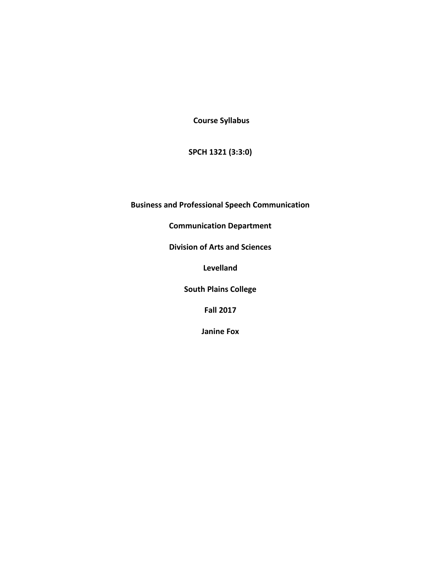**Course Syllabus** 

**SPCH 1321 (3:3:0)** 

**Business and Professional Speech Communication** 

**Communication Department** 

**Division of Arts and Sciences** 

**Levelland**

**South Plains College** 

**Fall 2017**

**Janine Fox**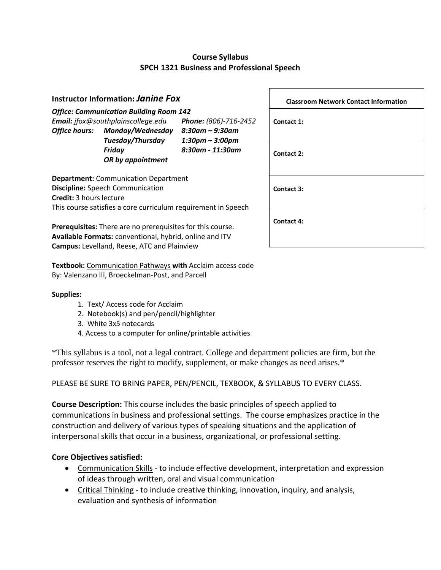# **Course Syllabus SPCH 1321 Business and Professional Speech**

|                                                                                                                                    | <b>Instructor Information: Janine Fox</b>                                                                |                                                          | <b>Classroom Network Contact Information</b> |
|------------------------------------------------------------------------------------------------------------------------------------|----------------------------------------------------------------------------------------------------------|----------------------------------------------------------|----------------------------------------------|
| <b>Office hours:</b>                                                                                                               | <b>Office: Communication Building Room 142</b><br>Email: jfox@southplainscollege.edu<br>Monday/Wednesday | Phone: (806)-716-2452<br>$8:30$ am – $9:30$ am           | Contact 1:                                   |
|                                                                                                                                    | Tuesday/Thursday<br>Friday<br>OR by appointment                                                          | $1:30 \text{pm} - 3:00 \text{pm}$<br>$8:30$ am - 11:30am | Contact 2:                                   |
| <b>Department:</b> Communication Department<br><b>Discipline:</b> Speech Communication<br><b>Credit: 3 hours lecture</b>           |                                                                                                          | Contact 3:                                               |                                              |
| This course satisfies a core curriculum requirement in Speech<br><b>Prerequisites:</b> There are no prerequisites for this course. |                                                                                                          | Contact 4:                                               |                                              |

**Textbook:** Communication Pathways **with** Acclaim access code By: Valenzano III, Broeckelman-Post, and Parcell

**Available Formats:** conventional, hybrid, online and ITV

#### **Supplies:**

1. Text/ Access code for Acclaim

**Campus:** Levelland, Reese, ATC and Plainview

- 2. Notebook(s) and pen/pencil/highlighter
- 3. White 3x5 notecards
- 4. Access to a computer for online/printable activities

\*This syllabus is a tool, not a legal contract. College and department policies are firm, but the professor reserves the right to modify, supplement, or make changes as need arises.\*

#### PLEASE BE SURE TO BRING PAPER, PEN/PENCIL, TEXBOOK, & SYLLABUS TO EVERY CLASS.

**Course Description:** This course includes the basic principles of speech applied to communications in business and professional settings. The course emphasizes practice in the construction and delivery of various types of speaking situations and the application of interpersonal skills that occur in a business, organizational, or professional setting.

#### **Core Objectives satisfied:**

- Communication Skills to include effective development, interpretation and expression of ideas through written, oral and visual communication
- Critical Thinking to include creative thinking, innovation, inquiry, and analysis, evaluation and synthesis of information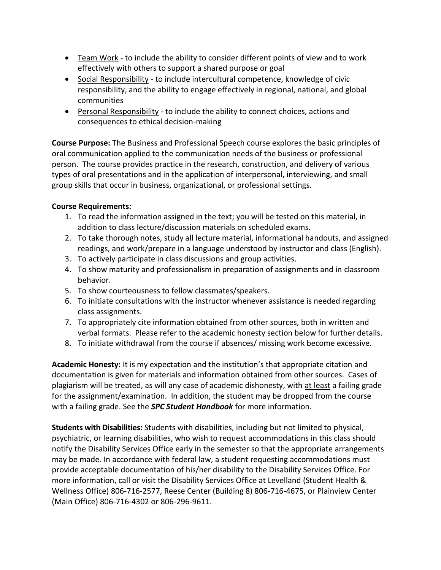- **•** Team Work to include the ability to consider different points of view and to work effectively with others to support a shared purpose or goal
- Social Responsibility to include intercultural competence, knowledge of civic responsibility, and the ability to engage effectively in regional, national, and global communities
- Personal Responsibility to include the ability to connect choices, actions and consequences to ethical decision-making

**Course Purpose:** The Business and Professional Speech course explores the basic principles of oral communication applied to the communication needs of the business or professional person. The course provides practice in the research, construction, and delivery of various types of oral presentations and in the application of interpersonal, interviewing, and small group skills that occur in business, organizational, or professional settings.

## **Course Requirements:**

- 1. To read the information assigned in the text; you will be tested on this material, in addition to class lecture/discussion materials on scheduled exams.
- 2. To take thorough notes, study all lecture material, informational handouts, and assigned readings, and work/prepare in a language understood by instructor and class (English).
- 3. To actively participate in class discussions and group activities.
- 4. To show maturity and professionalism in preparation of assignments and in classroom behavior.
- 5. To show courteousness to fellow classmates/speakers.
- 6. To initiate consultations with the instructor whenever assistance is needed regarding class assignments.
- 7. To appropriately cite information obtained from other sources, both in written and verbal formats. Please refer to the academic honesty section below for further details.
- 8. To initiate withdrawal from the course if absences/ missing work become excessive.

**Academic Honesty:** It is my expectation and the institution's that appropriate citation and documentation is given for materials and information obtained from other sources. Cases of plagiarism will be treated, as will any case of academic dishonesty, with at least a failing grade for the assignment/examination. In addition, the student may be dropped from the course with a failing grade. See the *SPC Student Handbook* for more information.

**Students with Disabilities:** Students with disabilities, including but not limited to physical, psychiatric, or learning disabilities, who wish to request accommodations in this class should notify the Disability Services Office early in the semester so that the appropriate arrangements may be made. In accordance with federal law, a student requesting accommodations must provide acceptable documentation of his/her disability to the Disability Services Office. For more information, call or visit the Disability Services Office at Levelland (Student Health & Wellness Office) 806-716-2577, Reese Center (Building 8) 806-716-4675, or Plainview Center (Main Office) 806-716-4302 or 806-296-9611.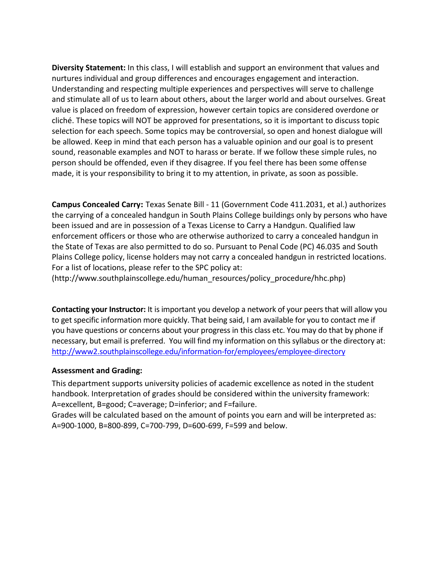**Diversity Statement:** In this class, I will establish and support an environment that values and nurtures individual and group differences and encourages engagement and interaction. Understanding and respecting multiple experiences and perspectives will serve to challenge and stimulate all of us to learn about others, about the larger world and about ourselves. Great value is placed on freedom of expression, however certain topics are considered overdone or cliché. These topics will NOT be approved for presentations, so it is important to discuss topic selection for each speech. Some topics may be controversial, so open and honest dialogue will be allowed. Keep in mind that each person has a valuable opinion and our goal is to present sound, reasonable examples and NOT to harass or berate. If we follow these simple rules, no person should be offended, even if they disagree. If you feel there has been some offense made, it is your responsibility to bring it to my attention, in private, as soon as possible.

**Campus Concealed Carry:** Texas Senate Bill - 11 (Government Code 411.2031, et al.) authorizes the carrying of a concealed handgun in South Plains College buildings only by persons who have been issued and are in possession of a Texas License to Carry a Handgun. Qualified law enforcement officers or those who are otherwise authorized to carry a concealed handgun in the State of Texas are also permitted to do so. Pursuant to Penal Code (PC) 46.035 and South Plains College policy, license holders may not carry a concealed handgun in restricted locations. For a list of locations, please refer to the SPC policy at:

(http://www.southplainscollege.edu/human\_resources/policy\_procedure/hhc.php)

**Contacting your Instructor:** It is important you develop a network of your peers that will allow you to get specific information more quickly. That being said, I am available for you to contact me if you have questions or concerns about your progress in this class etc. You may do that by phone if necessary, but email is preferred. You will find my information on this syllabus or the directory at: <http://www2.southplainscollege.edu/information-for/employees/employee-directory>

#### **Assessment and Grading:**

This department supports university policies of academic excellence as noted in the student handbook. Interpretation of grades should be considered within the university framework: A=excellent, B=good; C=average; D=inferior; and F=failure.

Grades will be calculated based on the amount of points you earn and will be interpreted as: A=900-1000, B=800-899, C=700-799, D=600-699, F=599 and below.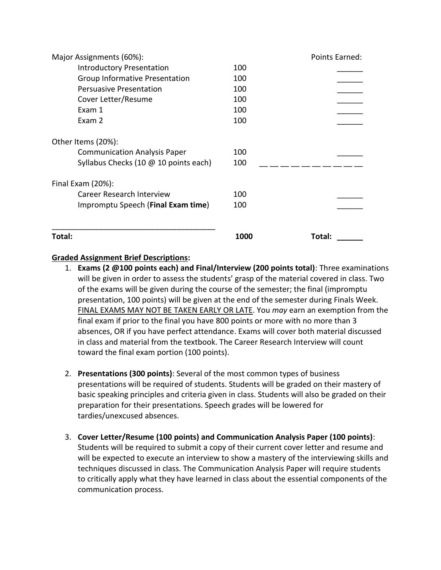| Major Assignments (60%):              |      | Points Earned: |
|---------------------------------------|------|----------------|
| <b>Introductory Presentation</b>      | 100  |                |
| Group Informative Presentation        | 100  |                |
| <b>Persuasive Presentation</b>        | 100  |                |
| Cover Letter/Resume                   | 100  |                |
| Exam 1                                | 100  |                |
| Exam 2                                | 100  |                |
| Other Items (20%):                    |      |                |
| <b>Communication Analysis Paper</b>   | 100  |                |
| Syllabus Checks (10 @ 10 points each) | 100  |                |
| Final Exam $(20%)$ :                  |      |                |
| <b>Career Research Interview</b>      | 100  |                |
| Impromptu Speech (Final Exam time)    | 100  |                |
| Total:                                | 1000 | Total:         |

### **Graded Assignment Brief Descriptions:**

- 1. **Exams (2 @100 points each) and Final/Interview (200 points total)**: Three examinations will be given in order to assess the students' grasp of the material covered in class. Two of the exams will be given during the course of the semester; the final (impromptu presentation, 100 points) will be given at the end of the semester during Finals Week. FINAL EXAMS MAY NOT BE TAKEN EARLY OR LATE. You *may* earn an exemption from the final exam if prior to the final you have 800 points or more with no more than 3 absences, OR if you have perfect attendance. Exams will cover both material discussed in class and material from the textbook. The Career Research Interview will count toward the final exam portion (100 points).
- 2. **Presentations (300 points)**: Several of the most common types of business presentations will be required of students. Students will be graded on their mastery of basic speaking principles and criteria given in class. Students will also be graded on their preparation for their presentations. Speech grades will be lowered for tardies/unexcused absences.
- 3. **Cover Letter/Resume (100 points) and Communication Analysis Paper (100 points)**: Students will be required to submit a copy of their current cover letter and resume and will be expected to execute an interview to show a mastery of the interviewing skills and techniques discussed in class. The Communication Analysis Paper will require students to critically apply what they have learned in class about the essential components of the communication process.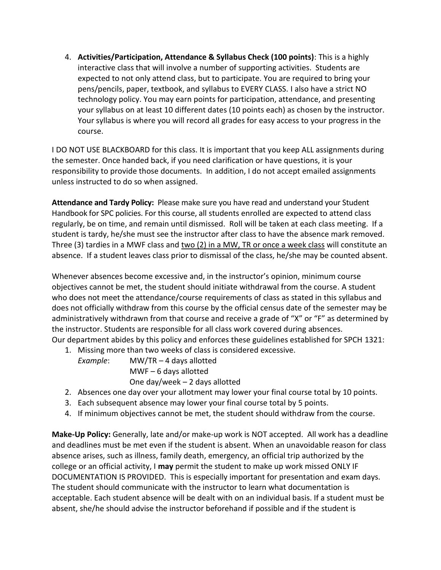4. **Activities/Participation, Attendance & Syllabus Check (100 points)**: This is a highly interactive class that will involve a number of supporting activities. Students are expected to not only attend class, but to participate. You are required to bring your pens/pencils, paper, textbook, and syllabus to EVERY CLASS. I also have a strict NO technology policy. You may earn points for participation, attendance, and presenting your syllabus on at least 10 different dates (10 points each) as chosen by the instructor. Your syllabus is where you will record all grades for easy access to your progress in the course.

I DO NOT USE BLACKBOARD for this class. It is important that you keep ALL assignments during the semester. Once handed back, if you need clarification or have questions, it is your responsibility to provide those documents. In addition, I do not accept emailed assignments unless instructed to do so when assigned.

**Attendance and Tardy Policy:** Please make sure you have read and understand your Student Handbook for SPC policies. For this course, all students enrolled are expected to attend class regularly, be on time, and remain until dismissed. Roll will be taken at each class meeting. If a student is tardy, he/she must see the instructor after class to have the absence mark removed. Three (3) tardies in a MWF class and two (2) in a MW, TR or once a week class will constitute an absence. If a student leaves class prior to dismissal of the class, he/she may be counted absent.

Whenever absences become excessive and, in the instructor's opinion, minimum course objectives cannot be met, the student should initiate withdrawal from the course. A student who does not meet the attendance/course requirements of class as stated in this syllabus and does not officially withdraw from this course by the official census date of the semester may be administratively withdrawn from that course and receive a grade of "X" or "F" as determined by the instructor. Students are responsible for all class work covered during absences. Our department abides by this policy and enforces these guidelines established for SPCH 1321:

- 1. Missing more than two weeks of class is considered excessive.
	- *Example*: MW/TR 4 days allotted MWF – 6 days allotted One day/week – 2 days allotted
- 2. Absences one day over your allotment may lower your final course total by 10 points.
- 3. Each subsequent absence may lower your final course total by 5 points.
- 4. If minimum objectives cannot be met, the student should withdraw from the course.

**Make-Up Policy:** Generally, late and/or make-up work is NOT accepted. All work has a deadline and deadlines must be met even if the student is absent. When an unavoidable reason for class absence arises, such as illness, family death, emergency, an official trip authorized by the college or an official activity, I **may** permit the student to make up work missed ONLY IF DOCUMENTATION IS PROVIDED. This is especially important for presentation and exam days. The student should communicate with the instructor to learn what documentation is acceptable. Each student absence will be dealt with on an individual basis. If a student must be absent, she/he should advise the instructor beforehand if possible and if the student is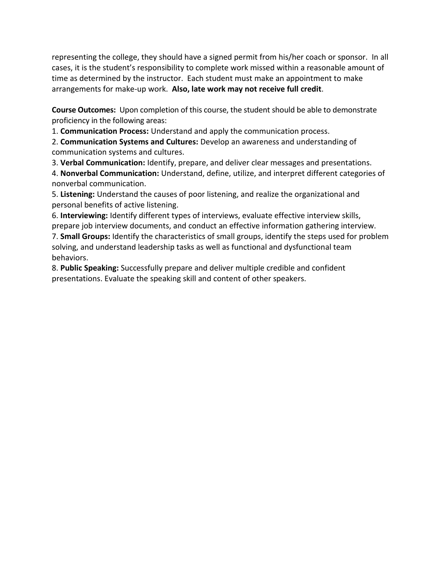representing the college, they should have a signed permit from his/her coach or sponsor. In all cases, it is the student's responsibility to complete work missed within a reasonable amount of time as determined by the instructor. Each student must make an appointment to make arrangements for make-up work. **Also, late work may not receive full credit**.

**Course Outcomes:** Upon completion of this course, the student should be able to demonstrate proficiency in the following areas:

1. **Communication Process:** Understand and apply the communication process.

2. **Communication Systems and Cultures:** Develop an awareness and understanding of communication systems and cultures.

3. **Verbal Communication:** Identify, prepare, and deliver clear messages and presentations.

4. **Nonverbal Communication:** Understand, define, utilize, and interpret different categories of nonverbal communication.

5. **Listening:** Understand the causes of poor listening, and realize the organizational and personal benefits of active listening.

6. **Interviewing:** Identify different types of interviews, evaluate effective interview skills, prepare job interview documents, and conduct an effective information gathering interview. 7. **Small Groups:** Identify the characteristics of small groups, identify the steps used for problem solving, and understand leadership tasks as well as functional and dysfunctional team behaviors.

8. **Public Speaking:** Successfully prepare and deliver multiple credible and confident presentations. Evaluate the speaking skill and content of other speakers.